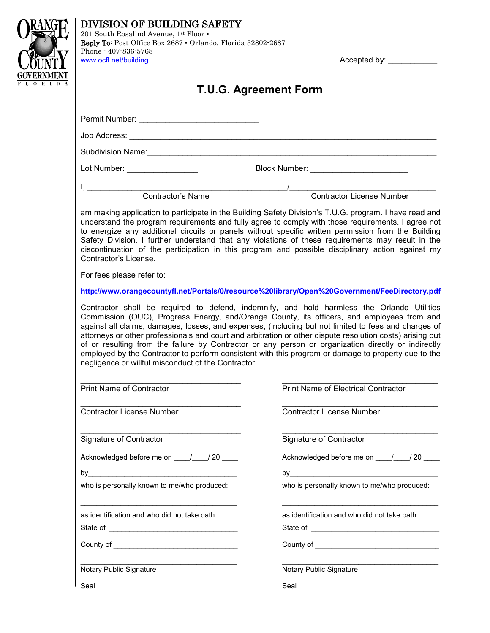|  | DIVISION OF BUILDING SAFETY<br>201 South Rosalind Avenue, 1st Floor .                                                                                                                                                                                                                                                                                                                                                                                                                                                                                                                                                                                                                                                                                                               |                                              |
|--|-------------------------------------------------------------------------------------------------------------------------------------------------------------------------------------------------------------------------------------------------------------------------------------------------------------------------------------------------------------------------------------------------------------------------------------------------------------------------------------------------------------------------------------------------------------------------------------------------------------------------------------------------------------------------------------------------------------------------------------------------------------------------------------|----------------------------------------------|
|  | Reply To: Post Office Box 2687 . Orlando, Florida 32802-2687<br>Phone - 407-836-5768<br>www.ocfl.net/building                                                                                                                                                                                                                                                                                                                                                                                                                                                                                                                                                                                                                                                                       | Accepted by:                                 |
|  |                                                                                                                                                                                                                                                                                                                                                                                                                                                                                                                                                                                                                                                                                                                                                                                     |                                              |
|  | <b>T.U.G. Agreement Form</b>                                                                                                                                                                                                                                                                                                                                                                                                                                                                                                                                                                                                                                                                                                                                                        |                                              |
|  |                                                                                                                                                                                                                                                                                                                                                                                                                                                                                                                                                                                                                                                                                                                                                                                     |                                              |
|  |                                                                                                                                                                                                                                                                                                                                                                                                                                                                                                                                                                                                                                                                                                                                                                                     |                                              |
|  |                                                                                                                                                                                                                                                                                                                                                                                                                                                                                                                                                                                                                                                                                                                                                                                     |                                              |
|  |                                                                                                                                                                                                                                                                                                                                                                                                                                                                                                                                                                                                                                                                                                                                                                                     | Block Number: ___________________________    |
|  | I, Contractor's Name                                                                                                                                                                                                                                                                                                                                                                                                                                                                                                                                                                                                                                                                                                                                                                | /<br>Contractor License Number               |
|  |                                                                                                                                                                                                                                                                                                                                                                                                                                                                                                                                                                                                                                                                                                                                                                                     |                                              |
|  | am making application to participate in the Building Safety Division's T.U.G. program. I have read and<br>understand the program requirements and fully agree to comply with those requirements. I agree not<br>to energize any additional circuits or panels without specific written permission from the Building<br>Safety Division. I further understand that any violations of these requirements may result in the<br>discontinuation of the participation in this program and possible disciplinary action against my<br>Contractor's License.                                                                                                                                                                                                                               |                                              |
|  | For fees please refer to:                                                                                                                                                                                                                                                                                                                                                                                                                                                                                                                                                                                                                                                                                                                                                           |                                              |
|  | http://www.orangecountyfl.net/Portals/0/resource%20library/Open%20Government/FeeDirectory.pdf<br>Contractor shall be required to defend, indemnify, and hold harmless the Orlando Utilities<br>Commission (OUC), Progress Energy, and/Orange County, its officers, and employees from and<br>against all claims, damages, losses, and expenses, (including but not limited to fees and charges of<br>attorneys or other professionals and court and arbitration or other dispute resolution costs) arising out<br>of or resulting from the failure by Contractor or any person or organization directly or indirectly<br>employed by the Contractor to perform consistent with this program or damage to property due to the<br>negligence or willful misconduct of the Contractor. |                                              |
|  |                                                                                                                                                                                                                                                                                                                                                                                                                                                                                                                                                                                                                                                                                                                                                                                     |                                              |
|  | <b>Contractor License Number</b>                                                                                                                                                                                                                                                                                                                                                                                                                                                                                                                                                                                                                                                                                                                                                    | <b>Contractor License Number</b>             |
|  | Signature of Contractor                                                                                                                                                                                                                                                                                                                                                                                                                                                                                                                                                                                                                                                                                                                                                             | Signature of Contractor                      |
|  |                                                                                                                                                                                                                                                                                                                                                                                                                                                                                                                                                                                                                                                                                                                                                                                     | Acknowledged before me on / / / 20           |
|  |                                                                                                                                                                                                                                                                                                                                                                                                                                                                                                                                                                                                                                                                                                                                                                                     |                                              |
|  | who is personally known to me/who produced:                                                                                                                                                                                                                                                                                                                                                                                                                                                                                                                                                                                                                                                                                                                                         | who is personally known to me/who produced:  |
|  | as identification and who did not take oath.                                                                                                                                                                                                                                                                                                                                                                                                                                                                                                                                                                                                                                                                                                                                        | as identification and who did not take oath. |
|  |                                                                                                                                                                                                                                                                                                                                                                                                                                                                                                                                                                                                                                                                                                                                                                                     |                                              |
|  | Notary Public Signature                                                                                                                                                                                                                                                                                                                                                                                                                                                                                                                                                                                                                                                                                                                                                             | Notary Public Signature                      |
|  | Seal                                                                                                                                                                                                                                                                                                                                                                                                                                                                                                                                                                                                                                                                                                                                                                                | Seal                                         |